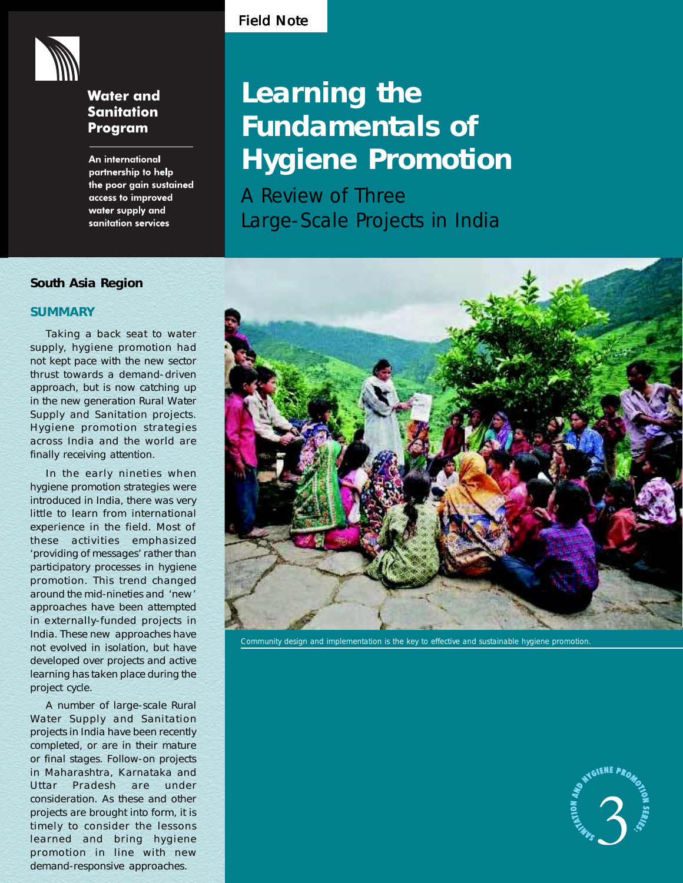

# **Water and Sanitation** Program

An international partnership to help the poor gain sustained access to improved water supply and sanitation services

# Field Note

# **Learning the Fundamentals of Hygiene Promotion**

A Review of Three Large-Scale Projects in India

# **South Asia Region**

# **SUMMARY**

Taking a back seat to water supply, hygiene promotion had not kept pace with the new sector thrust towards a demand-driven approach, but is now catching up in the new generation Rural Water Supply and Sanitation projects. Hygiene promotion strategies across India and the world are finally receiving attention.

In the early nineties when hygiene promotion strategies were introduced in India, there was very little to learn from international experience in the field. Most of these activities emphasized 'providing of messages' rather than participatory processes in hygiene promotion. This trend changed around the mid-nineties and 'new' approaches have been attempted in externally-funded projects in India. These new approaches have not evolved in isolation, but have developed over projects and active learning has taken place during the project cycle.

A number of large-scale Rural Water Supply and Sanitation projects in India have been recently completed, or are in their mature or final stages. Follow-on projects in Maharashtra, Karnataka and Uttar Pradesh are under consideration. As these and other projects are brought into form, it is timely to consider the lessons learned and bring hygiene promotion in line with new demand-responsive approaches.



Community design and implementation is the key to effective and sustainable hygiene promotion.

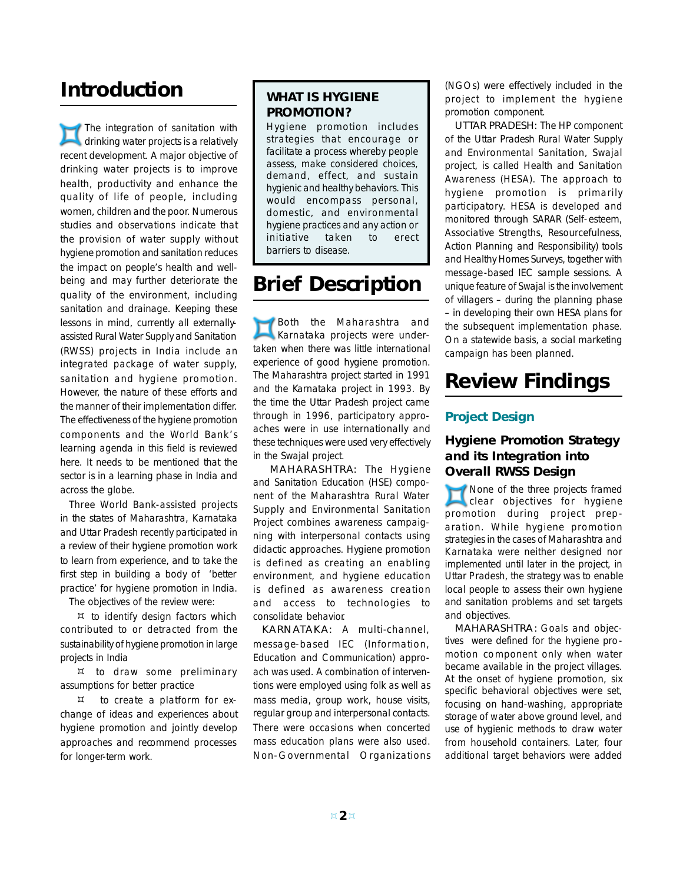# **Introduction**

The integration of sanitation with drinking water projects is a relatively recent development. A major objective of drinking water projects is to improve health, productivity and enhance the quality of life of people, including women, children and the poor. Numerous studies and observations indicate that the provision of water supply without hygiene promotion and sanitation reduces the impact on people's health and wellbeing and may further deteriorate the quality of the environment, including sanitation and drainage. Keeping these lessons in mind, currently all externallyassisted Rural Water Supply and Sanitation (RWSS) projects in India include an integrated package of water supply, sanitation and hygiene promotion. However, the nature of these efforts and the manner of their implementation differ. The effectiveness of the hygiene promotion components and the World Bank's learning agenda in this field is reviewed here. It needs to be mentioned that the sector is in a learning phase in India and across the globe.

Three World Bank-assisted projects in the states of Maharashtra, Karnataka and Uttar Pradesh recently participated in a review of their hygiene promotion work to learn from experience, and to take the first step in building a body of 'better practice' for hygiene promotion in India.

The objectives of the review were:

 $H$  to identify design factors which contributed to or detracted from the sustainability of hygiene promotion in large projects in India

 to draw some preliminary assumptions for better practice

 to create a platform for exchange of ideas and experiences about hygiene promotion and jointly develop approaches and recommend processes for longer-term work.

# **WHAT IS HYGIENE PROMOTION?**

Hygiene promotion includes strategies that encourage or facilitate a process whereby people assess, make considered choices, demand, effect, and sustain hygienic and healthy behaviors. This would encompass personal, domestic, and environmental hygiene practices and any action or initiative taken to erect barriers to disease.

# **Brief Description**

Both the Maharashtra and Karnataka projects were undertaken when there was little international experience of good hygiene promotion. The Maharashtra project started in 1991 and the Karnataka project in 1993. By the time the Uttar Pradesh project came through in 1996, participatory approaches were in use internationally and these techniques were used very effectively in the Swajal project.

MAHARASHTRA: The Hygiene and Sanitation Education (HSE) component of the Maharashtra Rural Water Supply and Environmental Sanitation Project combines awareness campaigning with interpersonal contacts using didactic approaches. Hygiene promotion is defined as creating an enabling environment, and hygiene education is defined as awareness creation and access to technologies to consolidate behavior.

KARNATAKA: A multi-channel, message-based IEC (Information, Education and Communication) approach was used. A combination of interventions were employed using folk as well as mass media, group work, house visits, regular group and interpersonal contacts. There were occasions when concerted mass education plans were also used. Non-Governmental Organizations (NGOs) were effectively included in the project to implement the hygiene promotion component.

UTTAR PRADESH: The HP component of the Uttar Pradesh Rural Water Supply and Environmental Sanitation, Swajal project, is called Health and Sanitation Awareness (HESA). The approach to hygiene promotion is primarily participatory. HESA is developed and monitored through SARAR (Self-esteem, Associative Strengths, Resourcefulness, Action Planning and Responsibility) tools and Healthy Homes Surveys, together with message-based IEC sample sessions. A unique feature of Swajal is the involvement of villagers – during the planning phase – in developing their own HESA plans for the subsequent implementation phase. On a statewide basis, a social marketing campaign has been planned.

# **Review Findings**

# **Project Design**

# **Hygiene Promotion Strategy and its Integration into Overall RWSS Design**

None of the three projects framed clear objectives for hygiene promotion during project preparation. While hygiene promotion strategies in the cases of Maharashtra and Karnataka were neither designed nor implemented until later in the project, in Uttar Pradesh, the strategy was to enable local people to assess their own hygiene and sanitation problems and set targets and objectives.

MAHARASHTRA: Goals and objectives were defined for the hygiene promotion component only when water became available in the project villages. At the onset of hygiene promotion, six specific behavioral objectives were set, focusing on hand-washing, appropriate storage of water above ground level, and use of hygienic methods to draw water from household containers. Later, four additional target behaviors were added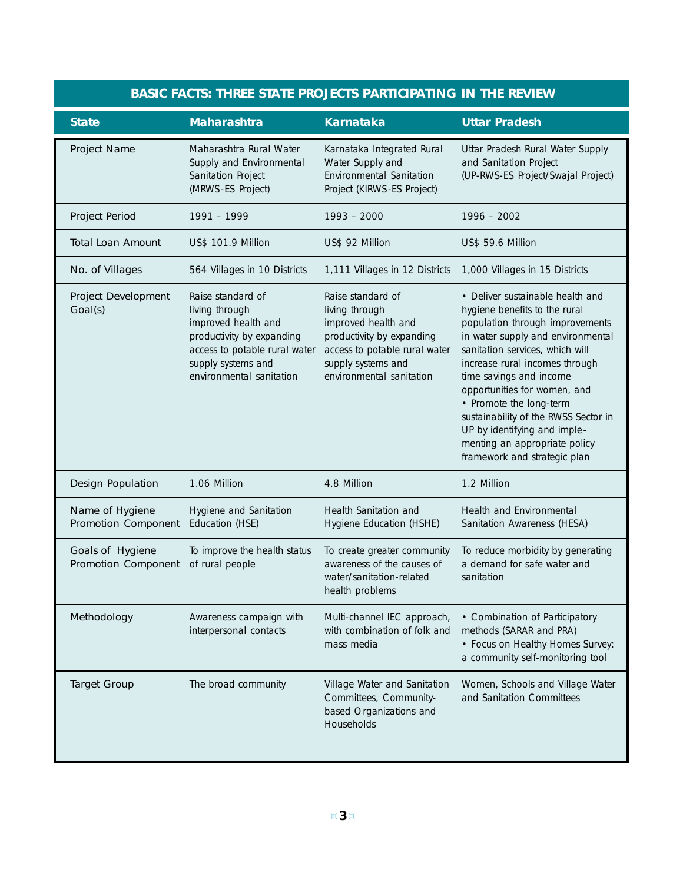| <b>BASIC FACTS: THREE STATE PROJECTS PARTICIPATING IN THE REVIEW</b> |                                                                                                                                                                            |                                                                                                                                                                            |                                                                                                                                                                                                                                                                                                                                                                                                                                               |
|----------------------------------------------------------------------|----------------------------------------------------------------------------------------------------------------------------------------------------------------------------|----------------------------------------------------------------------------------------------------------------------------------------------------------------------------|-----------------------------------------------------------------------------------------------------------------------------------------------------------------------------------------------------------------------------------------------------------------------------------------------------------------------------------------------------------------------------------------------------------------------------------------------|
| <b>State</b>                                                         | <b>Maharashtra</b>                                                                                                                                                         | <b>Karnataka</b>                                                                                                                                                           | <b>Uttar Pradesh</b>                                                                                                                                                                                                                                                                                                                                                                                                                          |
| <b>Project Name</b>                                                  | Maharashtra Rural Water<br>Supply and Environmental<br>Sanitation Project<br>(MRWS-ES Project)                                                                             | Karnataka Integrated Rural<br>Water Supply and<br>Environmental Sanitation<br>Project (KIRWS-ES Project)                                                                   | Uttar Pradesh Rural Water Supply<br>and Sanitation Project<br>(UP-RWS-ES Project/Swajal Project)                                                                                                                                                                                                                                                                                                                                              |
| <b>Project Period</b>                                                | 1991 - 1999                                                                                                                                                                | $1993 - 2000$                                                                                                                                                              | $1996 - 2002$                                                                                                                                                                                                                                                                                                                                                                                                                                 |
| <b>Total Loan Amount</b>                                             | US\$ 101.9 Million                                                                                                                                                         | US\$ 92 Million                                                                                                                                                            | US\$ 59.6 Million                                                                                                                                                                                                                                                                                                                                                                                                                             |
| No. of Villages                                                      | 564 Villages in 10 Districts                                                                                                                                               | 1,111 Villages in 12 Districts                                                                                                                                             | 1,000 Villages in 15 Districts                                                                                                                                                                                                                                                                                                                                                                                                                |
| Project Development<br>Goal(s)                                       | Raise standard of<br>living through<br>improved health and<br>productivity by expanding<br>access to potable rural water<br>supply systems and<br>environmental sanitation | Raise standard of<br>living through<br>improved health and<br>productivity by expanding<br>access to potable rural water<br>supply systems and<br>environmental sanitation | • Deliver sustainable health and<br>hygiene benefits to the rural<br>population through improvements<br>in water supply and environmental<br>sanitation services, which will<br>increase rural incomes through<br>time savings and income<br>opportunities for women, and<br>• Promote the long-term<br>sustainability of the RWSS Sector in<br>UP by identifying and imple-<br>menting an appropriate policy<br>framework and strategic plan |
| <b>Design Population</b>                                             | 1.06 Million                                                                                                                                                               | 4.8 Million                                                                                                                                                                | 1.2 Million                                                                                                                                                                                                                                                                                                                                                                                                                                   |
| Name of Hygiene<br><b>Promotion Component</b>                        | Hygiene and Sanitation<br>Education (HSE)                                                                                                                                  | Health Sanitation and<br>Hygiene Education (HSHE)                                                                                                                          | Health and Environmental<br>Sanitation Awareness (HESA)                                                                                                                                                                                                                                                                                                                                                                                       |
| Goals of Hygiene<br><b>Promotion Component</b>                       | To improve the health status<br>of rural people                                                                                                                            | To create greater community<br>awareness of the causes of<br>water/sanitation-related<br>health problems                                                                   | To reduce morbidity by generating<br>a demand for safe water and<br>sanitation                                                                                                                                                                                                                                                                                                                                                                |
| Methodology                                                          | Awareness campaign with<br>interpersonal contacts                                                                                                                          | Multi-channel IEC approach,<br>with combination of folk and<br>mass media                                                                                                  | • Combination of Participatory<br>methods (SARAR and PRA)<br>• Focus on Healthy Homes Survey:<br>a community self-monitoring tool                                                                                                                                                                                                                                                                                                             |
| <b>Target Group</b>                                                  | The broad community                                                                                                                                                        | Village Water and Sanitation<br>Committees, Community-<br>based Organizations and<br>Households                                                                            | Women, Schools and Village Water<br>and Sanitation Committees                                                                                                                                                                                                                                                                                                                                                                                 |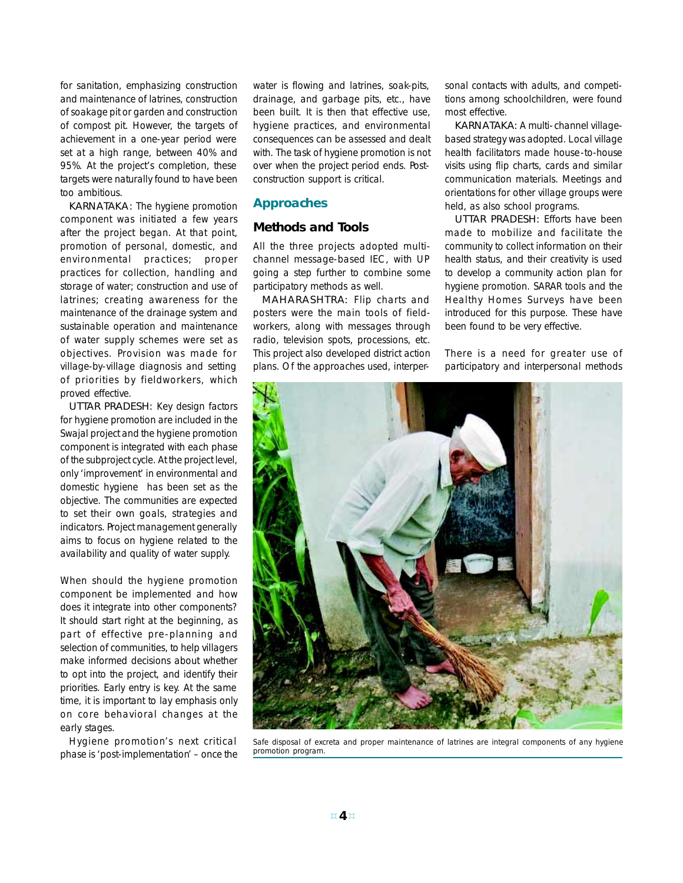for sanitation, emphasizing construction and maintenance of latrines, construction of soakage pit or garden and construction of compost pit. However, the targets of achievement in a one-year period were set at a high range, between 40% and 95%. At the project's completion, these targets were naturally found to have been too ambitious.

KARNATAKA: The hygiene promotion component was initiated a few years after the project began. At that point, promotion of personal, domestic, and environmental practices; proper practices for collection, handling and storage of water; construction and use of latrines; creating awareness for the maintenance of the drainage system and sustainable operation and maintenance of water supply schemes were set as objectives. Provision was made for village-by-village diagnosis and setting of priorities by fieldworkers, which proved effective.

UTTAR PRADESH: Key design factors for hygiene promotion are included in the Swajal project and the hygiene promotion component is integrated with each phase of the subproject cycle. At the project level, only 'improvement' in environmental and domestic hygiene has been set as the objective. The communities are expected to set their own goals, strategies and indicators. Project management generally aims to focus on hygiene related to the availability and quality of water supply.

When should the hygiene promotion component be implemented and how does it integrate into other components? It should start right at the beginning, as part of effective pre-planning and selection of communities, to help villagers make informed decisions about whether to opt into the project, and identify their priorities. Early entry is key. At the same time, it is important to lay emphasis only on core behavioral changes at the early stages.

Hygiene promotion's next critical phase is 'post-implementation' – once the water is flowing and latrines, soak-pits, drainage, and garbage pits, etc., have been built. It is then that effective use, hygiene practices, and environmental consequences can be assessed and dealt with. The task of hygiene promotion is not over when the project period ends. Postconstruction support is critical.

# **Approaches**

# **Methods and Tools**

All the three projects adopted multichannel message-based IEC, with UP going a step further to combine some participatory methods as well.

MAHARASHTRA: Flip charts and posters were the main tools of fieldworkers, along with messages through radio, television spots, processions, etc. This project also developed district action plans. Of the approaches used, interper-

sonal contacts with adults, and competitions among schoolchildren, were found most effective.

KARNATAKA: A multi-channel villagebased strategy was adopted. Local village health facilitators made house-to-house visits using flip charts, cards and similar communication materials. Meetings and orientations for other village groups were held, as also school programs.

UTTAR PRADESH: Efforts have been made to mobilize and facilitate the community to collect information on their health status, and their creativity is used to develop a community action plan for hygiene promotion. SARAR tools and the Healthy Homes Surveys have been introduced for this purpose. These have been found to be very effective.

There is a need for greater use of participatory and interpersonal methods



Safe disposal of excreta and proper maintenance of latrines are integral components of any hygiene promotion program.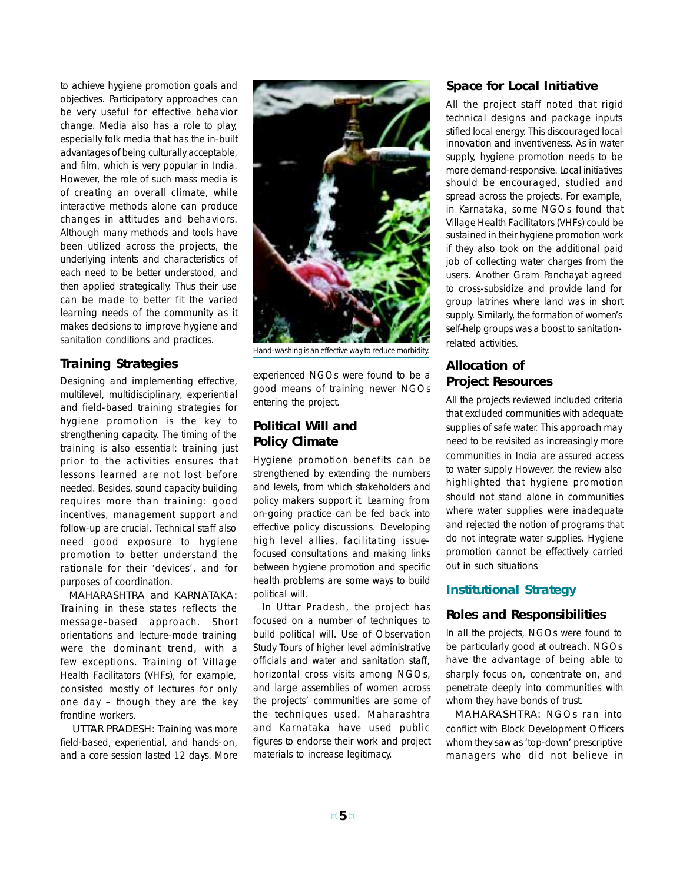to achieve hygiene promotion goals and objectives. Participatory approaches can be very useful for effective behavior change. Media also has a role to play, especially folk media that has the in-built advantages of being culturally acceptable, and film, which is very popular in India. However, the role of such mass media is of creating an overall climate, while interactive methods alone can produce changes in attitudes and behaviors. Although many methods and tools have been utilized across the projects, the underlying intents and characteristics of each need to be better understood, and then applied strategically. Thus their use can be made to better fit the varied learning needs of the community as it makes decisions to improve hygiene and sanitation conditions and practices.

# **Training Strategies**

Designing and implementing effective, multilevel, multidisciplinary, experiential and field-based training strategies for hygiene promotion is the key to strengthening capacity. The timing of the training is also essential: training just prior to the activities ensures that lessons learned are not lost before needed. Besides, sound capacity building requires more than training: good incentives, management support and follow-up are crucial. Technical staff also need good exposure to hygiene promotion to better understand the rationale for their 'devices', and for purposes of coordination.

MAHARASHTRA and KARNATAKA: Training in these states reflects the message-based approach. Short orientations and lecture-mode training were the dominant trend, with a few exceptions. Training of Village Health Facilitators (VHFs), for example, consisted mostly of lectures for only one day – though they are the key frontline workers.

UTTAR PRADESH: Training was more field-based, experiential, and hands-on, and a core session lasted 12 days. More



Hand-washing is an effective way to reduce morbidity.

experienced NGOs were found to be a good means of training newer NGOs entering the project.

# **Political Will and Policy Climate**

Hygiene promotion benefits can be strengthened by extending the numbers and levels, from which stakeholders and policy makers support it. Learning from on-going practice can be fed back into effective policy discussions. Developing high level allies, facilitating issuefocused consultations and making links between hygiene promotion and specific health problems are some ways to build political will.

In Uttar Pradesh, the project has focused on a number of techniques to build political will. Use of Observation Study Tours of higher level administrative officials and water and sanitation staff, horizontal cross visits among NGOs, and large assemblies of women across the projects' communities are some of the techniques used. Maharashtra and Karnataka have used public figures to endorse their work and project materials to increase legitimacy.

# **Space for Local Initiative**

All the project staff noted that rigid technical designs and package inputs stifled local energy. This discouraged local innovation and inventiveness. As in water supply, hygiene promotion needs to be more demand-responsive. Local initiatives should be encouraged, studied and spread across the projects. For example, in Karnataka, some NGOs found that Village Health Facilitators (VHFs) could be sustained in their hygiene promotion work if they also took on the additional paid job of collecting water charges from the users. Another Gram Panchayat agreed to cross-subsidize and provide land for group latrines where land was in short supply. Similarly, the formation of women's self-help groups was a boost to sanitationrelated activities.

# **Allocation of Project Resources**

All the projects reviewed included criteria that excluded communities with adequate supplies of safe water. This approach may need to be revisited as increasingly more communities in India are assured access to water supply. However, the review also highlighted that hygiene promotion should not stand alone in communities where water supplies were inadequate and rejected the notion of programs that do not integrate water supplies. Hygiene promotion cannot be effectively carried out in such situations.

# **Institutional Strategy**

## **Roles and Responsibilities**

In all the projects, NGOs were found to be particularly good at outreach. NGOs have the advantage of being able to sharply focus on, concentrate on, and penetrate deeply into communities with whom they have bonds of trust.

MAHARASHTRA: NGOs ran into conflict with Block Development Officers whom they saw as 'top-down' prescriptive managers who did not believe in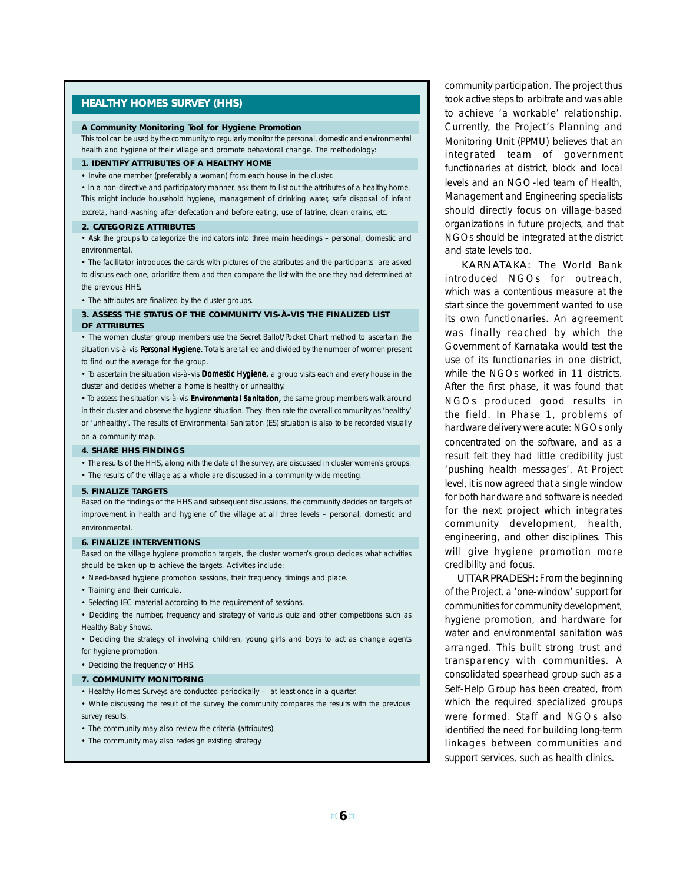### **HEALTHY HOMES SURVEY (HHS)**

#### **A Community Monitoring Tool for Hygiene Promotion**

This tool can be used by the community to regularly monitor the personal, domestic and environmental health and hygiene of their village and promote behavioral change. The methodology:

#### **1. IDENTIFY ATTRIBUTES OF A HEALTHY HOME**

• Invite one member (preferably a woman) from each house in the cluster.

• In a non-directive and participatory manner, ask them to list out the attributes of a healthy home. This might include household hygiene, management of drinking water, safe disposal of infant excreta, hand-washing after defecation and before eating, use of latrine, clean drains, etc.

#### **2. CATEGORIZE ATTRIBUTES**

• Ask the groups to categorize the indicators into three main headings – personal, domestic and environmental.

• The facilitator introduces the cards with pictures of the attributes and the participants are asked to discuss each one, prioritize them and then compare the list with the one they had determined at the previous HHS.

• The attributes are finalized by the cluster groups.

#### **3. ASSESS THE STATUS OF THE COMMUNITY VIS-À-VIS THE FINALIZED LIST OF ATTRIBUTES**

• The women cluster group members use the Secret Ballot/Pocket Chart method to ascertain the situation vis-à-vis Personal Hygiene. Totals are tallied and divided by the number of women present to find out the average for the group.

• To ascertain the situation vis-à-vis Domestic Hygiene, a group visits each and every house in the cluster and decides whether a home is healthy or unhealthy.

• To assess the situation vis-à-vis Environmental Sanitation, the same group members walk around in their cluster and observe the hygiene situation. They then rate the overall community as 'healthy' or 'unhealthy'. The results of Environmental Sanitation (ES) situation is also to be recorded visually on a community map.

#### **4. SHARE HHS FINDINGS**

- The results of the HHS, along with the date of the survey, are discussed in cluster women's groups.
- The results of the village as a whole are discussed in a community-wide meeting.

#### **5. FINALIZE TARGETS**

Based on the findings of the HHS and subsequent discussions, the community decides on targets of improvement in health and hygiene of the village at all three levels – personal, domestic and environmental.

#### **6. FINALIZE INTERVENTIONS**

Based on the village hygiene promotion targets, the cluster women's group decides what activities should be taken up to achieve the targets. Activities include:

- Need-based hygiene promotion sessions, their frequency, timings and place.
- Training and their curricula.
- Selecting IEC material according to the requirement of sessions.
- Deciding the number, frequency and strategy of various quiz and other competitions such as Healthy Baby Shows.
- Deciding the strategy of involving children, young girls and boys to act as change agents for hygiene promotion.
- Deciding the frequency of HHS.

#### **7. COMMUNITY MONITORING**

- Healthy Homes Surveys are conducted periodically at least once in a quarter.
- While discussing the result of the survey, the community compares the results with the previous survey results.
- The community may also review the criteria (attributes).
- The community may also redesign existing strategy.

community participation. The project thus took active steps to arbitrate and was able to achieve 'a workable' relationship. Currently, the Project's Planning and Monitoring Unit (PPMU) believes that an integrated team of government functionaries at district, block and local levels and an NGO-led team of Health, Management and Engineering specialists should directly focus on village-based organizations in future projects, and that NGOs should be integrated at the district and state levels too.

KARNATAKA: The World Bank introduced NGOs for outreach, which was a contentious measure at the start since the government wanted to use its own functionaries. An agreement was finally reached by which the Government of Karnataka would test the use of its functionaries in one district, while the NGOs worked in 11 districts. After the first phase, it was found that NGOs produced good results in the field. In Phase 1, problems of hardware delivery were acute: NGOs only concentrated on the software, and as a result felt they had little credibility just 'pushing health messages'. At Project level, it is now agreed that a single window for both hardware and software is needed for the next project which integrates community development, health, engineering, and other disciplines. This will give hygiene promotion more credibility and focus.

UTTAR PRADESH: From the beginning of the Project, a 'one-window' support for communities for community development, hygiene promotion, and hardware for water and environmental sanitation was arranged. This built strong trust and transparency with communities. A consolidated spearhead group such as a Self-Help Group has been created, from which the required specialized groups were formed. Staff and NGOs also identified the need for building long-term linkages between communities and support services, such as health clinics.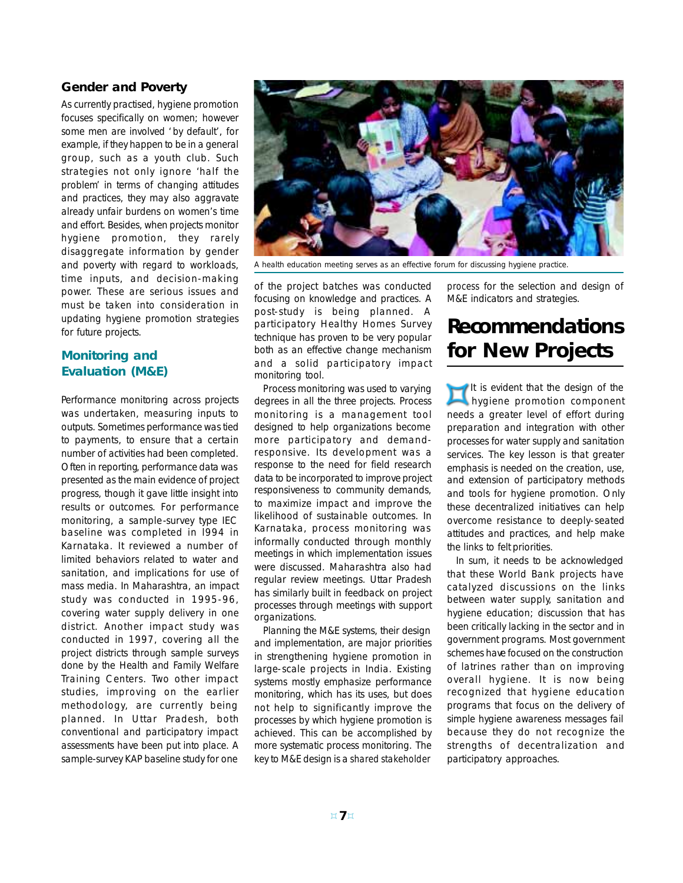# **Gender and Poverty**

As currently practised, hygiene promotion focuses specifically on women; however some men are involved 'by default', for example, if they happen to be in a general group, such as a youth club. Such strategies not only ignore 'half the problem' in terms of changing attitudes and practices, they may also aggravate already unfair burdens on women's time and effort. Besides, when projects monitor hygiene promotion, they rarely disaggregate information by gender and poverty with regard to workloads, time inputs, and decision-making power. These are serious issues and must be taken into consideration in updating hygiene promotion strategies for future projects.

# **Monitoring and Evaluation (M&E)**

Performance monitoring across projects was undertaken, measuring inputs to outputs. Sometimes performance was tied to payments, to ensure that a certain number of activities had been completed. Often in reporting, performance data was presented as the main evidence of project progress, though it gave little insight into results or outcomes. For performance monitoring, a sample-survey type IEC baseline was completed in l994 in Karnataka. It reviewed a number of limited behaviors related to water and sanitation, and implications for use of mass media. In Maharashtra, an impact study was conducted in 1995-96, covering water supply delivery in one district. Another impact study was conducted in 1997, covering all the project districts through sample surveys done by the Health and Family Welfare Training Centers. Two other impact studies, improving on the earlier methodology, are currently being planned. In Uttar Pradesh, both conventional and participatory impact assessments have been put into place. A sample-survey KAP baseline study for one



A health education meeting serves as an effective forum for discussing hygiene practice.

of the project batches was conducted focusing on knowledge and practices. A post-study is being planned. A participatory Healthy Homes Survey technique has proven to be very popular both as an effective change mechanism and a solid participatory impact monitoring tool.

Process monitoring was used to varying degrees in all the three projects. Process monitoring is a management tool designed to help organizations become more participatory and demandresponsive. Its development was a response to the need for field research data to be incorporated to improve project responsiveness to community demands, to maximize impact and improve the likelihood of sustainable outcomes. In Karnataka, process monitoring was informally conducted through monthly meetings in which implementation issues were discussed. Maharashtra also had regular review meetings. Uttar Pradesh has similarly built in feedback on project processes through meetings with support organizations.

Planning the M&E systems, their design and implementation, are major priorities in strengthening hygiene promotion in large-scale projects in India. Existing systems mostly emphasize performance monitoring, which has its uses, but does not help to significantly improve the processes by which hygiene promotion is achieved. This can be accomplished by more systematic process monitoring. The key to M&E design is a *shared stakeholder*

*process* for the selection and design of M&E indicators and strategies.

# **Recommendations for New Projects**

It is evident that the design of the hygiene promotion component needs a greater level of effort during preparation and integration with other processes for water supply and sanitation services. The key lesson is that greater emphasis is needed on the creation, use, and extension of participatory methods and tools for hygiene promotion. Only these decentralized initiatives can help overcome resistance to deeply-seated attitudes and practices, and help make the links to felt priorities.

In sum, it needs to be acknowledged that these World Bank projects have catalyzed discussions on the links between water supply, sanitation and hygiene education; discussion that has been critically lacking in the sector and in government programs. Most government schemes have focused on the construction of latrines rather than on improving overall hygiene. It is now being recognized that hygiene education programs that focus on the delivery of simple hygiene awareness messages fail because they do not recognize the strengths of decentralization and participatory approaches.